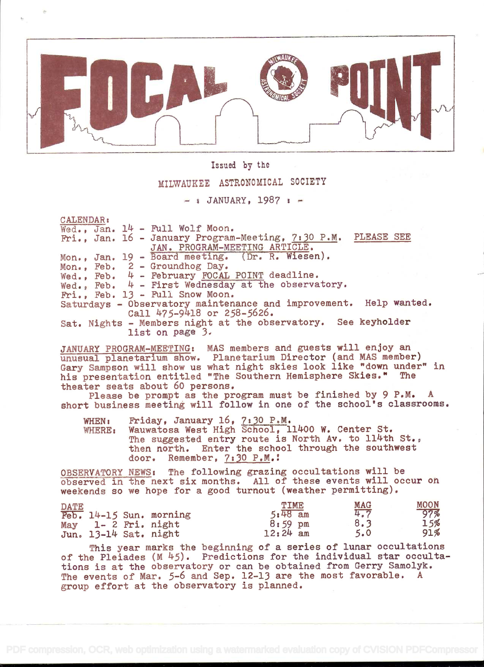

## Issued by the

# MILWAUKEE ASTRONOMICAL SOCIETY

 $-$  & JANUARY, 1987 :  $-$ 

CALENDAR:

|  | Wed., Jan. 14 - Full Wolf Moon.                                           |
|--|---------------------------------------------------------------------------|
|  | Fri., Jan. 16 - January Program-Meeting, 7:30 P.M. PLEASE SEE             |
|  | JAN. PROGRAM-MEETING ARTICLE.                                             |
|  | Mon., Jan. 19 - Board meeting. (Dr. R. Wiesen).                           |
|  | Mon., Feb. 2 - Groundhog Day.                                             |
|  | Wed., Feb. 4 - February FOCAL POINT deadline.                             |
|  | Wed., Feb. $4$ - First Wednesday at the observatory.                      |
|  | Fri., Feb. 13 - Full Snow Moon.                                           |
|  | Saturdays - Observatory maintenance and improvement. Help wanted.         |
|  | Call 475-9418 or 258-5626.                                                |
|  | Sat. Nights - Members night at the observatory. See keyholder             |
|  | list on page 3.                                                           |
|  |                                                                           |
|  | $\sim$ 1100 int proof is stream time. BAC seekses and migging will an asy |

JANUARY PROGRAM-MEETING: MAS members and guests will enjoy an unusual planetarium show. Planetarium Director (and MAS member) Gary Sampson will show us what night skies look like "down under" in his presentation entitled "The Southern Hemisphere Skies." The theater seats about 60 persons.

Please be prompt as the program must be finished by 9 P.M. A short business meeting will follow in one of the school's classrooms.

WHEN: friday, January 16, 7:30 P.M. WHERE: Wauwatosa West High School, ll11OO W. Center St. The suggested entry route is North Av. to 114th St., then north. Enter the school through the southwest door. Remember, 7:30 P.M.!

OBSERVATORY NEWS: The following grazing occultations will be observed in the next six months. All of these events will occur on weekends so we hope for a good turnout (weather permitting).

| <b>DATE</b> |  |                         | TIME      |    | <b>MAG</b> | <b>MOON</b> |
|-------------|--|-------------------------|-----------|----|------------|-------------|
|             |  | Feb. 14-15 Sun. morning | $5:48$ am |    | 4.7        | 97%         |
| May         |  | $1 - 2$ Fri. night      | $8:59$ pm |    | 8.3        | 15%         |
|             |  | Jun. 13-14 Sat. night   | 12:24     | am | 5.0        | 91%         |

This year marks the beginning of a series of lunar occultations of the Pleiades  $(M 45)$ . Predictions for the individual star occultations is at the observatory or can be obtained from Gerry Samolyk. The events of Mar. 5-6 and Sep. 12-13 are the most favorable. A group effort at the observatory is planned.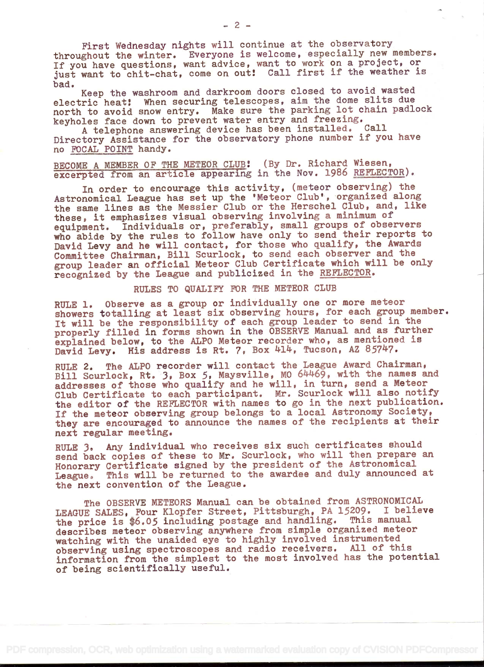First Wednesday nights will continue at the observatory throughout the winter. Everyone is welcome, especially new members. If you have questions, want advice, want to work on a project, or just want to chit-chat, come on out! Call first if the weather is

bad. Keep the washroom and darkroom doors closed to avoid wasted electric heat! When securing telescopes, aim the dome slits due north to avoid snow entry. Make sure the parking lot chain padlock keyholes face down to prevent water entry and freezing.

A telephone answering device has been installed. Call Directory Assistance for the observatory phone number if you have no FOCAL POINT handy.

BECOME A MEMBER OF THE METEOR CLUB! (By Dr. Richard Wiesen, excerpted from an article appearing in the Nov. 1986 REFLECTOR).

In order to encourage this activity, (meteor observing) the Astronomical League has set up the 'Meteor Club', organized along the same lines as the Messier Club or the Herschel Club, and, like these, it emphasizes visual observing involving a minimum of equipment. Individuals or, preferably, small groups of observers who abide by the rules to follow have only to send their reports to David Levy and he will contact, for those who qualify, the Awards Committee Chairman, Bill Scurlock, to send each observer and the group leader an official Meteor Club Certificate which will be only recognized by the League and publicized in the REFLECTOR.

### RULES TO QUALIFY FOR THE METEOR CLUB

RULE 1. Observe as a group or individually one or more meteor showers totalling at least six observing hours, for each group member. It will be the responsibility of each group leader to send in the properly filled in forms shown in the OBSERVE Manual and as further explained below, to the ALPO Meteor recorder who, as mentioned is David Levy. His address is Rt. 7, Box 414, Tucson, AZ 85747.

RULE 2. The ALPO recorder will contact the League Award Chairman, Bill Scurlook, Rt. 3, Box 5, Maysville, MO 614469, with the names and addresses of those who qualify and he will, in turn, send a Meteor Club Certificate to each participant. Mr. Scurlock will also notify the editor of the REFLECTOR with names to go in the next publication. If the meteor observing group belongs to a local Astronomy Society, they are encouraged to announce the names of the recipients at their next regular meeting.

RULE 3. Any individual who receives six such certificates should send back copies of these to Mr. Scurloek, who will then prepare an Honorary Certificate signed by the president of the Astronomical League. This will be returned to the awardee and duly announced at the next convention of the League.

The OBSERVE METEORS Manual can be obtained from ASTRONOMICAL LEAGUE SALES, Four Klopfer Street, Pittsburgh, PA 15209. I believe the price is \$6.05 including postage and handling. This manual describes meteor observing anywhere from simple organized meteor watching with the unaided eye to highly involved instrumented observing using spectroscopes and radio receivers. All of this information from the simplest to the most involved has the potential of being scientifically useful.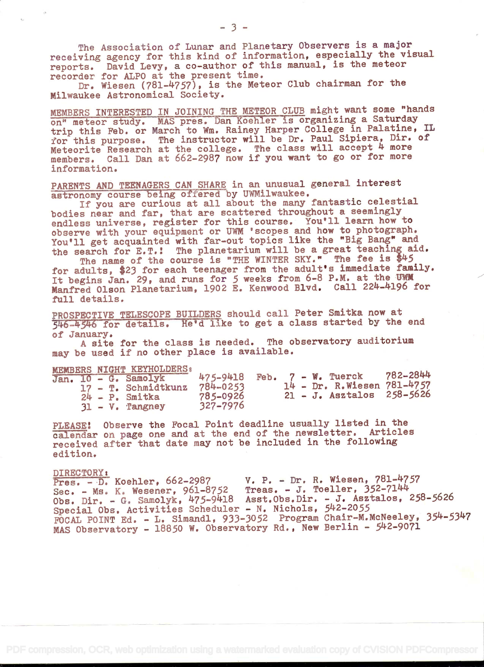The Association of Lunar and Planetary Observers is a major receiving agency for this kind of information, especially the visual reports. David Levy, a co-author of this manual, is the meteor recorder for ALPO at the present time.

Dr. Wiesen (781-4757), is the Meteor Club chairman for the Milwaukee Astronomical Society.

MEMBERS INTERESTED IN JOINING THE METEOR CLUB might want some "hands on" meteor study. MAS pre trip this Feb. or March to for this purpose. The inst Meteorite Research at the college. The class will accept 4 more members. Call Dan at 662-2987 now if you want to go or for more information. MAS pres. Dan Koehler is organizing a Saturday Iarch to Wm. Rainey Harper College in Palatine, IL The instructor will be Dr. Paul Sipiera, Dir. of

PARENTS AND TEENAGERS CAN SHARE in an unusual general interest astronomy course being offered by UWMilwaukee.

If you are curious at all about the many fantastic celestial bodies near and far, that are scattered throughout a seemingly endless universe, register for this course. You'll learn how to observe with your equipment or UWM 'scopes and how to photograph. You'll get acquainted with far-out topics like the "Big Bang" and the search for E.T.! The planetarium will be a great teaching aid.

The name of the course is "THE WINTER SKY." The fee is \$45 for adults, \$23 for each teenager from the adult's immediate family. It begins Jan. 29, and runs for 5 weeks from 6-8 P.M. at the UWM Manfred Olson Planetarium, 1902 E. Kenwood Blvd. Call 224-4196 for full details.

PROSPECTIVE TELESCOPE BUILDERS should call Peter Smitka now at 56-k5'46 for detaïls. He'd like to get a class started by the end of January.

A site for the class is needed. The observatory auditorium may be used if no other place is available.

|  |  | MEMBERS NIGHT KEYHOLDERS:                |                                    |  |  |                            |          |
|--|--|------------------------------------------|------------------------------------|--|--|----------------------------|----------|
|  |  | Jan. 10 - G. Samolyk                     | $475 - 9418$ Feb. $7 - W$ . Tuerck |  |  | 14 - Dr. R.Wiesen 781-4757 | 782-2844 |
|  |  | 17 - T. Schmidtkunz<br>$24 - P$ . Smitka | 784-0253<br>785-0926               |  |  | 21 - J. Asztalos 258-5626  |          |
|  |  | $31 - V$ . Tangney                       | 327-7976                           |  |  |                            |          |

PLEASE! Observe the Focal Point deadline usually listed in the calendar on page one and at the end of the newsletter. Articles received after that date may not be included in the following edition.

### DIRECTORY s

Pres. - D. Koehler, 662-2987 V. P. - Dr. R. Wiesen, 781-4757 Sec. - Ms. K. Wesener, 961-8752 Treas. - J. Toeller, 352-71k4 Obs. Dir. - G. Samolyk, 475-9418 Asst.Obs.Dir. - J. Asztalos, 258-5626 Special Obs. Activities Scheduler - N. Nichols, 542-2055 FOCAL POINT Ed. - L. Simandl, 933-3052 Program Chair-M.McNeeley, 354-5347 MAS Observatory - 18850 W. Observatory Rd., New Berlin - 542-9071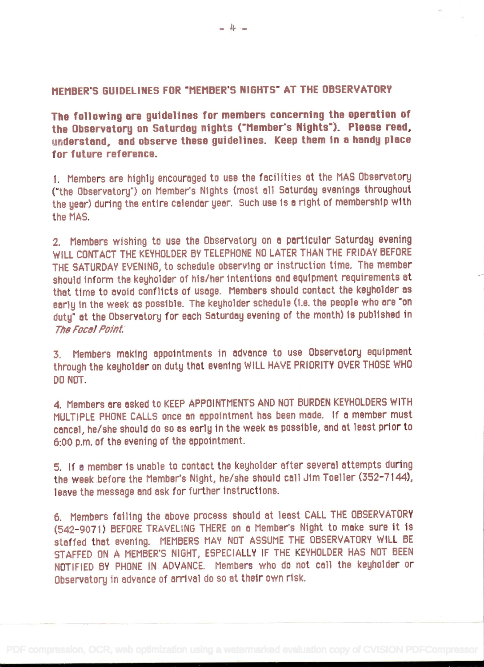# MEMBER'S GUIDELINES FOR "MEMBER'S NIGHTS" AT THE OBSERVATORY

The following are guidelines for members concerning the operation of the Observatory on Saturday nights ("Member's Nights"). Please read, understand, and observe these guidelines. Keep them in a handy place for future reference.

1. Members are highly encouraged to use the facilities at the MAS Observatory ("the Observatory") on Member's Nights (most all Saturday evenings throughout the year) during the entire calendar year. Such use is a right of membership with the MAS.

2. Members wishing to use the Observatory on a particular Saturday evening WILL CONTACT THE KEYHOLDER BY TELEPHONE NO LATER THAN THE FRIDAY BEFORE THE SATURDAY EVENING, to schedule observing or instruction time. The member should inform the keyholder of his/her intentions and equipment requirements at that time to avoid conflicts of usage. Members should contact the keyholder as early in the week as possible. The keyholder schedule (i.e. the people who are "on duty" at the Observatory for each Saturday evening of the month) is published in The Focal Point.

3. Members making appointments in advance to use Observatory equipment through the keyholder on duty that evening WILL HAVE PRIORITY OVER THOSE WHO DO NOT.

4. Members ore osked to KEEP APPOINTMENTS AND NOT BURDEN KEYHOLDERS WITH MULTIPLE PHONE CALLS once on oppointment has been mode. If a member must concel, he/she should do so as early in the week as possible, and at least prior to 6:00 p.m. of the evening of the appointment.

5. If a member is unable to contact the keyholder after several attempts during the week before the Member's Night, he/she should call Jim Toeller (352-7144), leave the message and ask for further instructions.

6. Members failing the above process should at least CALL THE OBSERVATORY (542-9071) BEFORE TRAVELING THERE on a Member's Night to make sure it ís staffed that evening. MEMBERS MAY NOT ASSUME THE OBSERVATORY WILL BE STAFFED ON A MEMBER'S NIGHT, ESPECIALLY IF THE KEYHOLDER HAS NOT BEEN NOTIFIED BY PHONE IN ADVANCE. Members who do not call the keyholder or Observatory in advance of arríval do so at their own risk.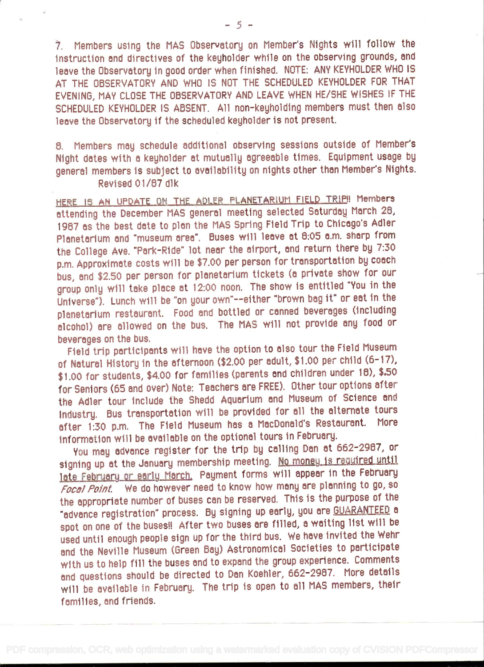7. Members using the MAS Observatory on Member's Nights will follow the instruction and directives of the keyholder while on the observing grounds, and leave the Observatory in good order when finished. NOTE: ANY KEYHOLDER WHO IS AT THE OBSERVATORY AND WHO IS NOT THE SCHEDULED KEYHOLDER FOR THAT EVENING, MAY CLOSE THE OBSERVATORY AND LEAVE WHEN HE/SHE WISHES IF THE SCHEDULED KEYHOLDER IS ABSENT. All non-keyholding members must then also leave the Observatory if the scheduled kejholder is not present.

8. Members may schedule additional observing sessions outside of Member's Night dates with a keyholder at mutually agreeable times. Equipment usage by general members is subject to availability on nights other than Member's Nights. Revised 01/87 dlk

HERE 15 AN UPDATE ON THE ADLER PLANETARIUM FIELD TRIPII Members attending the December MAS general meeting selected Saturday March 28, 1987 as the best date to plan the MAS Spring Field Trip to Chicago's Adler Planetarium and "museum area". Buses will leave at 6:05 a.m. sharp from the College Ave. "Park-Ride' lot near the airport, and return there by 7:30 p.m. Approximate costs will be \$7.00 per person for transportation by coach bus, and \$2.50 per person for planetarium tickets (a private show for our group only will take place at 12:00 noon. The show is entitled "You in the Universe"). Lunch will be "on your own"--either "brown bag it" or eat in the planetarium restaurant. Food and bottled or canned beverages (including alcohol) are allowed on the bus. The MAS will not províde any food or beverages on the bus.

Field trip participants will have the optíon to also tour the Field Museum of Natural History in the afternoon (\$2.00 per adult, \$1.00 per child (6-17), \$1.00 for students, \$4.00 for families (parents and children under 18), \$.50 for Seniors (65 and over) Note: Teachers are FREE). Other tour options after the Adler tour include the Shedd Aquarium and Museum of Science and Industry. Bus transportation will be provided for all the alternate tours after 1:30 p.m. The Field Museum has a MacDonald's Restaurant. More information will be available on the optional tours in February.

You may advance register for the trip by calling Dan at 662-2987, or signing up at the January membership meeting. No money is required until late February or early March. Payment forms will appear in the February Focal Point. We do however need to know how many are planning to go, so the appropriate number of buses can be reserved. This is the purpose of the "advance registration' process. By signing up early, you are GUARANTEED <sup>a</sup> spot on one of the buses!! After two buses are filled, a waiting list will be used until enough people sign up for the third bus. We have invited the Wehr and the Neville Museum (Green Bay) Astronomical Societies to participate with us to help fill the buses and to expand the group experience. Comments and questions should be directed to Dan Koehler, 662-2987. More details will be available in February. The trip is open to all MAS members, their families, and friends.